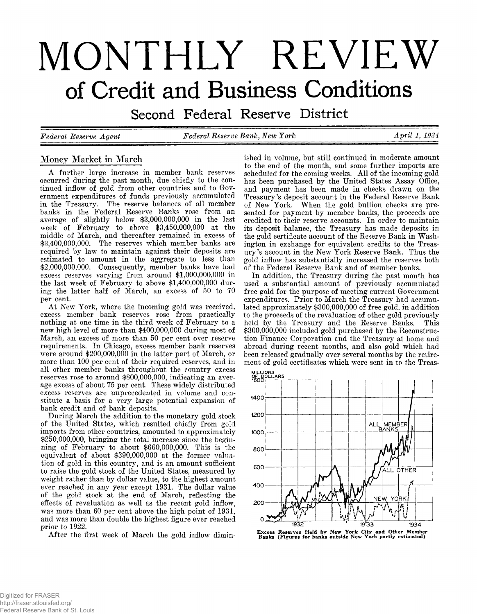# MONTHLY REVIEW **of Credit and Business Conditions**

Second Federal Reserve District

*Federal Eeserve Agent Federal Eeserve Bank***,** *New York April 1***,** *1934*

# **Money Market in March**

**A further large increase in member bank reserves occurred during the past month, due chiefly to the continued inflow of gold from other countries and to Government expenditures of funds previously accumulated in the Treasury. The reserve balances of all member banks in the Federal Reserve Banks rose from an average of slightly below \$3,000,000,000 in the last week of February to above \$3,450,000,000 at the middle of March, and thereafter remained in excess of \$3,400,000,000. The reserves which member banks are required by law to maintain against their deposits are estimated to amount in the aggregate to less than \$2,000,000,000. Consequently, member banks have had excess reserves varying from around \$1,000,000,000 in the last week of February to above \$1,400,000,000 during the latter half of March, an excess of 50 to 70 per cent.**

**At New York, where the incoming gold was received, excess member bank reserves rose from practically nothing at one time in the third week of February to a new high level of more than \$400,000,000 during most of March, an, excess of more than 50 per cent over reserve requirements. In Chicago, excess member bank reserves were around \$200,000,000 in the latter part of March, or more than 100 per cent of their required reserves, and in all other member banks throughout the country excess reserves rose to around \$800,000,000, indicating an average excess of about 75 per cent. These widely distributed excess reserves are unprecedented in volume and constitute a basis for a very large potential expansion of bank credit and of bank deposits.**

**During March the addition to the monetary gold stock of the United States, which resulted chiefly from gold imports from other countries, amounted to approximately \$250,000,000, bringing the total increase since the beginning of February to about \$660,000,000. This is the equivalent of about \$390,000,000 at the former valuation of gold in this country, and is an amount sufficient to raise the gold stock of the United States, measured by weight rather than by dollar value, to the highest amount ever reached in any year except 1931. The dollar value of the gold stock at the end of March, reflecting the effects of revaluation as well as the recent gold inflow, was more than 60 per cent above the high point of 1931, and was more than double the highest figure ever reached prior to 1922.**

After the first week of March the gold inflow dimin-

**ished in volume, but still continued in moderate amount to the end of the month, and some further imports are scheduled for the coming weeks. All of the incoming gold has been purchased by the United States Assay Office, and payment has been made in checks drawn on the Treasury's deposit account in the Federal Reserve Bank of New York. When the gold bullion checks are presented for payment by member banks, the proceeds are** credited to their reserve accounts. In order to maintain **its deposit balance, the Treasury has made deposits in the gold certificate account of the Reserve Bank in Washington in exchange for equivalent credits to the Treasury's account in the New York Reserve Bank. Thus the gold inflow has substantially increased the reserves both of the Federal Reserve Bank and of member banks.**

**In addition, the Treasury during the past month has used a substantial amount of previously accumulated free gold for the purpose of meeting current Government expenditures. Prior to March the Treasury had accumulated approximately \$300,000,000 of free gold, in addition to the proceeds of the revaluation of other gold previously held by the Treasury and the Reserve Banks. This \$300,000,000 included gold purchased by the Reconstruction Finance Corporation and the Treasury at home and abroad during recent months, and also gold which had been released gradually over several months by the retirement of gold certificates which were sent in to the Treas-**



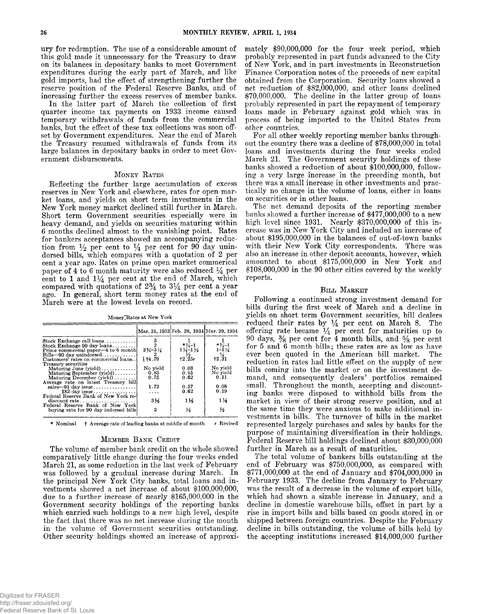**nry for redemption. The use of a considerable amount of this gold made it unnecessary for the Treasury to draw on its balances in depositary banks to meet Government expenditures during the early part of March, and like gold imports, had the effect of strengthening further the reserve position of the Federal Reserve Banks, and of increasing further the excess reserves of member banks.**

**In the latter part of March the collection of first quarter income tax payments on 1933 income caused temporary withdrawals of funds from the commercial banks, but the effect of these tax collections was soon offset by Government expenditures. Near the end of March the Treasury resumed withdrawals of funds from its large balances in depositary banks in order to meet Government disbursements.**

#### **MONEY RATES**

**Reflecting the further large accumulation of excess reserves in New York and elsewhere, rates for open market loans, and yields on short term investments in the New York money market declined still further in March. Short term Government securities especially were in heavy demand, and yields on securities maturing within 6 months declined almost to the vanishing point. Rates for bankers acceptances showed an accompanying reduc**tion from  $\frac{1}{2}$  per cent to  $\frac{1}{4}$  per cent for 90 day unin**dorsed bills, which compares with a quotation of 2 per cent a year ago. Rates on prime open market commerical** paper of 4 to 6 month maturity were also reduced  $\frac{1}{4}$  per cent to  $1$  and  $1\frac{1}{4}$  per cent at the end of March, which **compared with quotations of** *2%* **to 3\*4 per cent a year ago. In general, short term money rates at the end of March were at the lowest levels on record.**

**Money ^Rates at New York**

|                                                                    |                               | Mar. 31, 1933 Feb. 28, 1934 Mar. 29, 1934                                                                                                                                                                          |                      |
|--------------------------------------------------------------------|-------------------------------|--------------------------------------------------------------------------------------------------------------------------------------------------------------------------------------------------------------------|----------------------|
| Stock Exchange call loans                                          |                               |                                                                                                                                                                                                                    | $*34-1$              |
| Stock Exchange 90 day loans<br>Prime commercial paper—4 to 6 month | $2\frac{3}{4} - 3\frac{1}{4}$ | $*3/4-1$<br>$\frac{1}{2}$<br>$\frac{1}{2}$<br>$\frac{1}{2}$<br>$\frac{2}{5}$<br>$\frac{1}{2}$<br>$\frac{2}{5}$<br><br><br><br><br><br><br><br><br><br><br><br><br><br><br><br><br><br><br><br><br><br><br><br><br> | $1 - 1\,\frac{1}{4}$ |
| $Bills - 90$ day unindorsed                                        | - 2                           |                                                                                                                                                                                                                    | $\frac{1}{4}$        |
| Customers' rates on commercial loans                               | £14.79                        |                                                                                                                                                                                                                    | $+2.31$              |
| Treasury securities                                                |                               |                                                                                                                                                                                                                    |                      |
|                                                                    | No yield                      | 0.03                                                                                                                                                                                                               | No yield             |
| Maturing September $(yield)$                                       | 0.83                          | 0.45                                                                                                                                                                                                               | No vield             |
| Maturing December $(vield)$                                        | 0.75                          | 0.62                                                                                                                                                                                                               | 0.11                 |
| Average rate on latest Treasury bill                               |                               |                                                                                                                                                                                                                    |                      |
| sales $-91$ day issue                                              | 1.72                          | 0.57                                                                                                                                                                                                               | 0.08                 |
| $182$ day issue                                                    | .                             | 0.62                                                                                                                                                                                                               | 0.19                 |
| Federal Reserve Bank of New York re-                               |                               |                                                                                                                                                                                                                    |                      |
| $discount rate. \ldots \ldots \ldots \ldots \ldots$                | 334                           | 112                                                                                                                                                                                                                | $1\frac{1}{2}$       |
| Federal Reserve Bank of New York                                   |                               |                                                                                                                                                                                                                    |                      |
| buying rate for 90 day indorsed bills                              | $\mathbf 2$                   | $\frac{1}{2}$                                                                                                                                                                                                      | ₩                    |

**\* Nominal f Average rate of leading banks at middle of month r Revised**

#### **MEMBER BANK CREDIT**

**The volume of member bank credit on the whole showed comparatively little change during the four weeks ended March 21, as some reduction in the last week of February was followed by a gradual increase during March. In the principal New York City banks, total loans and investments showed a net increase of about \$100,000,000, due to a further increase of nearly \$165,000,000 in the Government security holdings of the reporting banks which carried such holdings to a new high level, despite the fact that there was no net increase during the month in the volume of Government securities outstanding. Other security holdings showed an increase of approxi-**

**mately \$90,000,000 for the four week period, which probably represented in part funds advanced to the City of New York, and in part investments in Reconstruction Finance Corporation notes of the proceeds of new capital obtained from the Corporation. Security loans showed a net reduction of \$82,000,000, and other loans declined \$70,000,000. The decline in the latter group of loans probably represented in part the repayment of temporary loans made in February against gold which was in process of being imported to the United States from other countries.**

**For all other weekly reporting member banks throughout the country there was a decline of \$78,000,000 in total loans and investments during the four weeks ended March 21. The Government security holdings of these banks showed a reduction of about \$100,000,000, following a very large increase in the preceding month, but there was a small increase in other investments and practically no change in the volume of loans, either in loans on securities or in other loans.**

**The net demand deposits of the reporting member banks showed a further increase of \$477,000,000 to a new high level since 1931. Nearly \$370,000,000 of this increase was in New York City and included an increase of about \$195,000,000 in the balances of out-of-town banks with their New York City correspondents. There was also an increase in other deposit accounts, however, which amounted to about \$175,000,000 in New York and \$108,000,000 in the 90 other cities covered by the weekly reports.**

#### **BILL MARKET**

**Following a continued strong investment demand for bills during the first week of March and a decline in yields on short term Government securities, bill dealers** reduced their rates by  $\frac{1}{4}$  per cent on March 8. The offering rate became  $\frac{1}{4}$  per cent for maturities up to **90 days, % per cent for 4 month bills, and % per cent for 5 and 6 month bills; these rates are as low as have ever been quoted in the American bill market. The reduction in rates had little effect on the supply of new bills coming into the market or on the investment demand, and consequently dealers' portfolios remained small. Throughout the month, accepting and discounting banks were disposed to withhold bills from the market in view of their strong reserve position, and at the same time they were anxious to make additional investments in bills. The turnover of bills in the market represented largely purchases and sales by banks for the purpose of maintaining diversification in their holdings. Federal Reserve bill holdings declined about \$30,000,000 further in March as a result of maturities.**

**The total volume of bankers bills outstanding at the end of February was \$750,000,000, as compared with \$771,000,000 at the end of January and \$704,000,000 in February 1933. The decline from January to February was the result of a decrease in the volume of export bills, which had shown a sizable increase in January, and a decline in domestic warehouse bills, offset in part by a rise in import bills and bills based on goods stored in or shipped between foreign countries. Despite the February decline in bills outstanding, the volume of bills held by the accepting institutions increased \$14,000,000 further**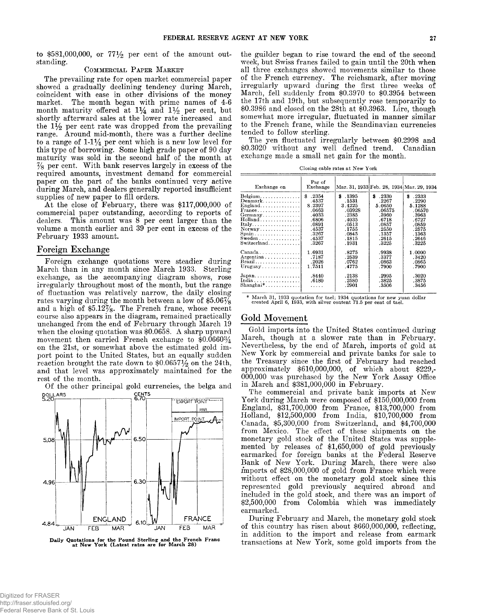to \$581,000,000, or 77<sup>1</sup>/<sub>2</sub> per cent of the amount out**standing.**

#### COMMERCIAL PAPER MARKET

**The prevailing rate for open market commercial paper showed a gradually declining tendency during March, coincident with ease in other divisions of the money market. The month began with prime names of 4-6 month maturity offered at 1% and 1% per cent, but** shortly afterward sales at the lower rate increased and **the 1% per cent rate was dropped from the prevailing range. Around mid-month, there was a further decline to a range of 1-1% per cent which is a new low level for this type of borrowing. Some high grade paper of 90 day maturity was sold in the second half of the month at % per cent. With bank reserves largely in excess of the required amounts, investment demand for commercial paper on the part of the banks continued very active during March, and dealers generally reported insufficient supplies of new paper to fill orders.**

**At the close of February, there was \$117,000,000 of commercial paper outstanding, according to reports of dealers. This amount was 8 per cent larger than the volume a month earlier and 39 per cent in excess of the February 1933 amount.**

#### **Foreign Exchange**

**Foreign exchange quotations were steadier during March than in any month since March 1933. Sterling exchange, as the accompanying diagram shows, rose irregularly throughout most of the month, but the range of fluctuation was relatively narrow, the daily closing rates varying during the month between a low of \$5.06% and a high of \$5.12%. The French franc, whose recent course also appears in the diagram, remained practically unchanged from the end of February through March 19 when the closing quotation was \$0.0658. A sharp upward movement then carried French exchange to \$0.0660% on the 21st, or somewhat above the estimated gold import point to the United States, but an equally sudden** reaction brought the rate down to \$0.06571/2 on the 24th, **and that level was approximately maintained for the rest of the month.**

**Of the other principal gold currencies, the belga and**



Daily Quotations for the Pound Sterling and the French Franc<br>at New York (Latest rates are for March 28)

**the guilder began to rise toward the end of the second week, but Swiss francs failed to gain until the 20th when all three exchanges showed movements similar to those of the French currency. The reichsmark, after moving irregularly upward during the first three weeks of March, fell suddenly from \$0.3970 to \$0.3954 between the 17th and 19th, but subsequently rose temporarily to \$0.3986 and closed on the 28th at \$0.3963. Lire, though somewhat more irregular, fluctuated in manner similar to the French franc, while the Scandinavian currencies tended to follow sterling.**

**The yen fluctuated irregularly between \$0.2998 and \$0.3020 without any well defined trend. Canadian exchange made a small net gain for the month.**

**Closing cable rates at New York**

| Exchange on                                   | Par of<br>Exchange |         |             | Mar. 31, 1933 Feb. 28, 1934 Mar. 29, 1934 |
|-----------------------------------------------|--------------------|---------|-------------|-------------------------------------------|
| Belgium                                       | \$.2354            | \$.1395 | .2330<br>\$ | \$.2333                                   |
| Denmark                                       | .4537              | .1531   | .2267       | .2290                                     |
| English.                                      | 8.2397             | 3.4225  | 5.0650      | 5.1288                                    |
| $\text{France} \dots \dots \dots \dots \dots$ | .0663              | .03928  | .06575      | .06570                                    |
| Germany                                       | .4033              | .2385   | .3960       | .3963                                     |
| $Holland \ldots \ldots \ldots \ldots$         | .6806              | .4035   | .6718       | .6727                                     |
| Italy                                         | .0891              | .0513   | .0857       | .0859                                     |
| $\text{Norway} \dots \dots \dots \dots$       | .4537              | .1755   | .2550       | .2575                                     |
| Span <sub>1</sub> , , , ,                     | .3267              | .0845   | .1357       | .1363                                     |
| $Sweden \dots \dots \dots \dots$              | .4537              | .1815   | .2615       | .2646                                     |
| $Switzerland. \ldots \ldots \ldots$           | .3267              | .1931   | .3225       | .3225                                     |
| $Canada \ldots \ldots \ldots \ldots$          | 1.6931             | .8275   | .9938       | 1.0000                                    |
| $Argentina \ldots \ldots \ldots \ldots$       | .7187              | .2539   | .3377       | .3420                                     |
| Brazil                                        | .2026              | .0762   | .0863       | .0865                                     |
| Uruguay                                       | 1.7511             | .4775   | .7900       | .7900                                     |
| $Japan \ldots \ldots \ldots \ldots \ldots$    | .8440              | .2138   | .2995       | .3020                                     |
| India                                         | .6180              | .2580   | .3825       | .3875                                     |
| $Shanghai*$                                   | .                  | . 2901  | .3506       | .3456                                     |
|                                               |                    |         |             |                                           |

**\* March 31, 1933 quotation for tael; 1934 quotations for new yuan dollar created April 6, 1933, with silver content 71.5 per cent of tael.**

#### Gold Movement

**Gold imports into the United States continued during March, though at a slower rate than in February. Nevertheless, by the end of March, imports of gold at New York by commercial and private banks for sale to the Treasury since the first of February had reached approximately \$610,000,000, of which about \$229,- 000,000 was purchased by the New York Assay Office in March and \$381,000,000 in February.**

**The commercial and private bank imports at New York during March were composed of \$150,000,000 from England, \$31,700,000 from France, \$13,700,000 from Holland, \$12,500,000 from India, \$10,700,000 from Canada, \$5,300,000 from Switzerland, and \$4,700,000 from Mexico. The effect of these shipments on the monetary gold stock of the United States was supplemented by releases of \$1,650,000 of gold previously earmarked for foreign banks at the Federal Reserve Bank of New York. During March, there were also imports of \$28,000,000 of gold from France which were without effect on the monetary gold stock since this represented gold previously acquired abroad and included in the gold stock, and there was an import of \$2,500,000 from Colombia which was immediately earmarked.**

**During February and March, the monetary gold stock of this country has risen about \$660,000,000, reflecting, in addition to the import and release from earmark transactions at New York, some gold imports from the**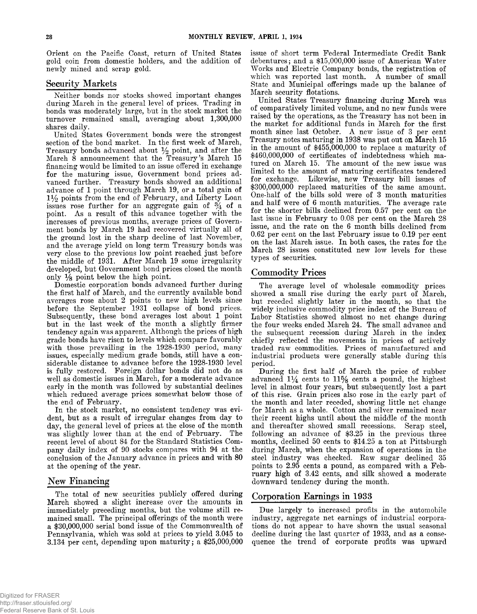**Orient on the Pacific Coast, return of United States gold coin from domestic holders, and the addition of newly mined and scrap gold.**

# **Security Markets**

**Neither bonds nor stocks showed important changes during March in the general level of prices. Trading in bonds was moderately large, but in the stock market the turnover remained small, averaging about 1,300,000 shares daily.**

**United States Government bonds were the strongest section of the bond market. In the first week of March, Treasury bonds advanced about % point, and after the March 8 announcement that the Treasury's March 15 financing would be limited to an issue offered in exchange for the maturing issue, Government bond prices advanced further. Treasury bonds showed an additional advance of 1 point through March 19, or a total gain of** *i y 2* **points from the end of February, and Liberty Loan** issues rose further for an aggregate gain of  $\frac{3}{4}$  of a **point. As a result of this advance together with the increases of previous months, average prices of Government bonds by March 19 had recovered virtually all of the ground lost in the sharp decline of last November, and the average yield on long term Treasury bonds was very close to the previous low point reached just before the middle of 1931. After March 19 some irregularity developed, but Government bond prices closed the month only** *Ys* **point below the high point.**

**Domestic corporation bonds advanced further during the first half of March, and the currently available bond averages rose about 2 points to new high levels since before the September 1931 collapse of bond prices. Subsequently, these bond averages lost about 1 point but in the last week of the month a slightly firmer tendency again was apparent. Although the prices of high grade bonds have risen to levels which compare favorably with those prevailing in the 1928-1930 period, many issues, especially medium grade bonds, still have a considerable distance to advance before the 1928-1930 level is fully restored. Foreign dollar bonds did not do as well as domestic issues in March, for a moderate advance early in the month was followed by substantial declines which reduced average prices somewhat below those of the end of February.**

**In the stock market, no consistent tendency was evident, but as a result of irregular changes from day to day, the general level of prices at the close of the month was slightly lower than at the end of February. The recent level of about 84 for the Standard Statistics Company daily index of 90 stocks compares with 94 at the conclusion of the January advance in prices and with 80 at the opening of the year.**

# New Financing

**The total of new securities publicly offered during March showed a slight increase over the amounts in immediately preceding months, but the volume still remained small. The principal offerings of the month were a \$30,000,000 serial bond issue of the Commonwealth of Pennsylvania, which was sold at prices to yield 3.045 to 3.134 per cent, depending upon maturity; a \$25,000,000**

**issue of short term Federal Intermediate Credit Bank debentures; and a \$15,000,000 issue of American Water Works and Electric Company bonds, the registration of which was reported last month. A number of small State and Municipal offerings made up the balance of March security flotations.**

**United States Treasury financing during March was of comparatively limited volume, and no new funds were raised by the operations, as the Treasury has not been in the market for additional funds in March for the first month since last October. A new issue of 3 per cent Treasury notes maturing in 1938 was put out on March 15 in the amount of \$455,000,000 to replace a maturity of \$460,000,000 of certificates of indebtedness which matured on March 15. The amount of the new issue was limited to the amount of maturing certificates tendered for exchange. Likewise, new Treasury bill issues of \$300,000,000 replaced maturities of the same amount. One-half of the bills sold were of 3 month maturities and half were of 6 month maturities. The average rate for the shorter bills declined from 0.57 per cent on the last issue in February to 0.08 per cent on the March 28 issue, and the rate on the 6 month bills declined from 0.62 per cent on the last February issue to 0.19 per cent on the last March issue. In both cases, the rates for the March 28 issues constituted new low levels for these types of securities.**

# **Com m odity Prices**

**The average level of wholesale commodity prices showed a small rise during the early part of March, but receded slightly later in the month, so that the widely inclusive commodity price index of the Bureau of Labor Statistics showed almost no net change during the four weeks ended March 24. The small advance and the subsequent recession during March in the index chiefly reflected the movements in prices of actively traded raw commodities. Prices of manufactured and industrial products were generally stable during this period.**

**During the first half of March the price of rubber advanced** *1%* **cents to 11% cents a pound, the highest level in almost four years, but subsequently lost a part of this rise. Grain prices also rose in the early part of the month and later receded, showing little net change for March as a whole. Cotton and silver remained near their recent highs until about the middle of the month and thereafter showed small recessions. Scrap steel, following an advance of \$3.25 in the previous three months, declined 50 cents to \$14.25 a ton at Pittsburgh during March, when the expansion of operations in the steel industry was checked. Raw sugar declined 35 points to 2.95 cents a pound, as compared with a February high of 3.42 cents, and silk showed a moderate downward tendency during the month.**

# **Corporation Earnings in 1933**

**Due largely to increased profits in the automobile industry, aggregate net earnings of industrial corpora**tions do not appear to have shown the usual seasonal **decline during the last quarter of 1933, and as a consequence the trend of corporate profits was upward**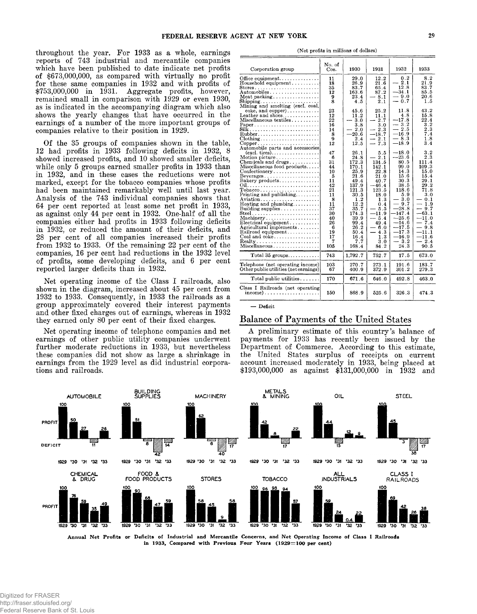**throughout the year. For 1933 as a whole, earnings reports of 743 industrial and mercantile companies which have been published to date indicate net profits of \$673,000,000, as compared with virtually no profit for these same companies in 1932 and with profits of \$753,000,000 in 1931. Aggregate profits, however, remained small in comparison with 1929 or even 1930, as is indicated in the accompanying diagram which also shows the yearly changes that have occurred in the earnings of a number of the more important groups of companies relative to their position in 1929.**

**Of the 35 groups of companies shown in the table, 12 had profits in 1933 following deficits in 1932, 8 showed increased profits, and 10 showed smaller deficits, while only 5 groups earned smaller profits in 1933 than in 1932, and in these cases the reductions were not marked, except for the tobacco companies whose profits had been maintained remarkably well until last year. Analysis of the 743 individual companies shows that 64 per cent reported at least some net profit in 1933, as against only 44 per cent in 1932. One-half of all the companies either had profits in 1933 following deficits in 1932, or reduced the amount of their deficits, and 28 per cent of all companies increased their profits from 1932 to 1933. Of the remaining 22 per cent of the companies, 16 per cent had reductions in the 1932 level of profits, some developing deficits, and 6 per cent reported larger deficits than in 1932.**

**Net operating income of the Class I railroads, also shown in the diagram, increased about 45 per cent from 1932 to 1933. Consequently, in 1933 the railroads as a group approximately covered their interest payments and other fixed charges out of earnings, whereas in 1932 they earned only 80 per cent of their fixed charges.**

**Net operating income of telephone companies and net earnings of other public utility companies underwent further moderate reductions in 1933, but nevertheless these companies did not show as large a shrinkage in earnings from the 1929 level as did industrial corporations and railroads.**

| Corporation group                                                                                                                                                                                                                                                                                                                                                                                                                                                                                                                                                                 | NO. OI<br>Cos.                                                                                                         | 1930                                                                                                                                                                     | 1931                                                                                                                                                                          | 1932                                                                                                                                                                                                | 1933                                                                                                                                                                                                              |
|-----------------------------------------------------------------------------------------------------------------------------------------------------------------------------------------------------------------------------------------------------------------------------------------------------------------------------------------------------------------------------------------------------------------------------------------------------------------------------------------------------------------------------------------------------------------------------------|------------------------------------------------------------------------------------------------------------------------|--------------------------------------------------------------------------------------------------------------------------------------------------------------------------|-------------------------------------------------------------------------------------------------------------------------------------------------------------------------------|-----------------------------------------------------------------------------------------------------------------------------------------------------------------------------------------------------|-------------------------------------------------------------------------------------------------------------------------------------------------------------------------------------------------------------------|
| Office equipment<br>Household equipment<br>Automobiles<br>Meat packing $\ldots \ldots \ldots \ldots$<br>$\text{Shipping} \dots \dots \dots \dots \dots \dots \dots$<br>Mining and smelting (excl. coal,                                                                                                                                                                                                                                                                                                                                                                           | 11<br>18<br>35<br>12<br>9<br>8                                                                                         | 29.0<br>26.9<br>83.7<br>163.6<br>23.4<br>4.5                                                                                                                             | 12.2<br>21.6<br>65.4<br>87.2<br>$-8.1$<br>2.1                                                                                                                                 | 0.2<br>$-2.1$<br>12.8<br>$-34.1$<br>$-9.0$<br>$-0.7$                                                                                                                                                | 8.2<br>21.9<br>83.7<br>85.5<br>20.6<br>1.5                                                                                                                                                                        |
| $\csc$ , and $\csc$ )<br>Leather and shoes<br>Miscellaneous textiles<br>Paper<br>$Rubber. \ldots, \ldots, \ldots, \ldots, \ldots, \ldots$<br>$\text{Clothing} \dots \dots \dots \dots \dots \dots \dots \dots$<br>$Copper \ldots \ldots \ldots \ldots \ldots \ldots$                                                                                                                                                                                                                                                                                                              | 23<br>12<br>$^{22}$<br>16<br>14<br>8<br>9<br>12                                                                        | 45.6<br>11.2<br>3.0<br>3.8<br>$-2.0$<br>$-20.6$<br>2.4<br>12.5                                                                                                           | 25.2<br>11.1<br>- 2.7<br>3.0<br>$-2.3$<br>$-18.7$<br>$-2.1$<br>$-7.3$                                                                                                         | 11.8<br>4.8<br>$-17.8$<br>$-3.2$<br>$-2.5$<br>$-16.9$<br>$-8.3$<br>$-18.9$                                                                                                                          | 43.2<br>15.8<br>22.4<br>3.2<br>2.3<br>7.4<br>1.8<br>3.4                                                                                                                                                           |
| Automobile parts and accessories<br>Motion picture<br>Chemicals and drugs<br>$Miseellaneous$ food products<br>$\text{Confectiometry} \dots \dots \dots \dots \dots$<br>$Beverages \dots \dots \dots \dots \dots \dots$<br>Bakery products<br>$To baseo, \ldots, \ldots, \ldots, \ldots, \ldots,$<br>Printing and publishing<br>Aviation<br>Heating and plumbing<br>Building supplies.<br>$Steel.$<br>Machinery<br>$Electrical equipment \ldots \ldots$<br>Agricultural implements<br>Railroad equipment<br>Coal and $\csc \ldots \ldots \ldots \ldots$<br>Realty<br>Miscellaneous | 47<br>6<br>31<br>44<br>10<br>5<br>11<br>42<br>21<br>11<br>8<br>11<br>37<br>30<br>40<br>26<br>6<br>19<br>17<br>7<br>105 | 26.1<br>24.8<br>172.3<br>170.1<br>25.9<br>21.6<br>49.4<br>137.9<br>121.3<br>30.5<br>1.2<br>12.2<br>35.7<br>174.3<br>39.9<br>99.4<br>26.2<br>50.4<br>16.4<br>7.7<br>168.4 | 5.5<br>$-2.1$<br>134.5<br>142.1<br>22.8<br>21.0<br>40.7<br>$-46.4$<br>123.5<br>18.0<br>1.3<br>0.4<br>$-5.5$<br>$-11.9$<br>$-5.4$<br>49.4<br>— ჩ.0<br>43<br>1.3<br>3.0<br>84.2 | $-18.0$<br>$-23.6$<br>80.5<br>99.0<br>14.3<br>15.6<br>30.3<br>38.5<br>118.6<br>5.9<br>- 3.0<br>$-9.7$<br>$-28.8$<br>-147.4<br>$-25.6$<br>$-14.6$<br>$-17.5$<br>$-17.3$<br>$-16.9$<br>$-3.2$<br>24.3 | 3.2<br>2.3<br>111.4<br>109.3<br>15.0<br>15.4<br>29.1<br>29.2<br>71.8<br>3.0<br>0.1<br>$\overline{\phantom{0}}$<br>1.9<br>$-9.7$<br>$-63.1$<br>$-11.0$<br>$-7.4$<br>$-9.8$<br>$-11.1$<br>$-11.6$<br>$-2.4$<br>90.5 |
| Total $35$ groups                                                                                                                                                                                                                                                                                                                                                                                                                                                                                                                                                                 | 743                                                                                                                    | 1,792.7                                                                                                                                                                  | 752.7                                                                                                                                                                         | 17.5                                                                                                                                                                                                | 673.0                                                                                                                                                                                                             |
| Telephone (net operating income)<br>Other public utilities (net earnings)                                                                                                                                                                                                                                                                                                                                                                                                                                                                                                         | 103<br>67                                                                                                              | 270.7<br>400.9                                                                                                                                                           | 273.1<br>372.9                                                                                                                                                                | 191.6<br>301.2                                                                                                                                                                                      | 183.7<br>279.3                                                                                                                                                                                                    |
| Total public utilities                                                                                                                                                                                                                                                                                                                                                                                                                                                                                                                                                            | 170                                                                                                                    | 671.6                                                                                                                                                                    | 646.0                                                                                                                                                                         | 492 8                                                                                                                                                                                               | 463.0                                                                                                                                                                                                             |
| Class I Railroads (net operating<br>income)                                                                                                                                                                                                                                                                                                                                                                                                                                                                                                                                       | 150                                                                                                                    | 868.9                                                                                                                                                                    | 525.6                                                                                                                                                                         | 326.3                                                                                                                                                                                               | 474.3                                                                                                                                                                                                             |

**(Net profits in millions of dollars)**

**No. of**

**— Deficit**

#### **Balance of Payments of the United States**

**A preliminary estimate of this country's balance of payments for 1933 has recently been issued by the Department of Commerce. According to this estimate, the United States surplus of receipts on current account increased moderately in 1933, being placed at \$193,000,000 as against \$131,000,000 in 1932 and**



Annual Net Profits or Deficits of Industrial and Mercantile Concerns, and Net Operating Income of Class I Railroads in 1933, Compared with Previous Four Years (1929=100 per cent)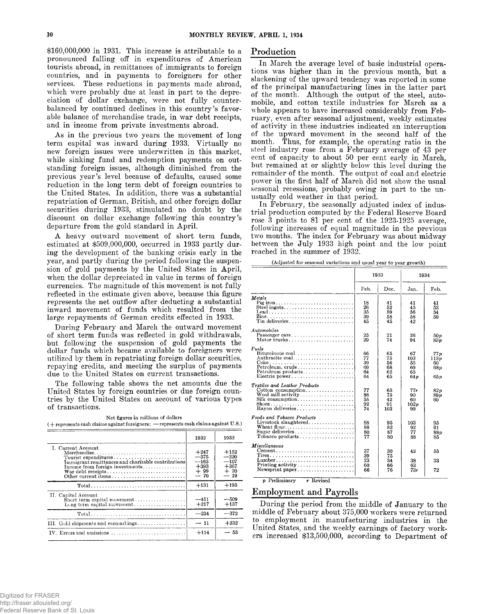**\$160,000,000 in 1931. This increase is attributable to a pronounced falling off in expenditures of American tourists abroad, in remittances of immigrants to foreign countries, and in payments to foreigners for other services. These reductions in payments made abroad, which were probably due at least in part to the depreciation of dollar exchange, were not fully counterbalanced by continued declines in this country's favorable balance of merchandise trade, in war debt receipts, and in income from private investments abroad.**

**As in the previous two years the movement of long term capital was inward during 1933. Virtually no new foreign issues were underwritten in this market, while sinking fund and redemption payments on outstanding foreign issues, although diminished from the previous year's level because of defaults, caused some reduction in the long term debt of foreign countries to the United States. In addition, there was a substantial repatriation of German, British, and other foreign dollar securities during 1933, stimulated no doubt by the discount on dollar exchange following this country's departure from the gold standard in April.**

**A heavy outward movement of short term funds, estimated at \$509,000,000, occurred in 1933 partly during the development of the banking crisis early in the year, and partly during the period following the suspension of gold payments by the United States in April, when the dollar depreciated in value in terms of foreign currencies. The magnitude of this movement is not fully reflected in the estimate given above, because this figure represents the net outflow after deducting a substantial inward movement of funds which resulted from the large repayments of German credits effected in 1933.**

**During February and March the outward movement of short term funds was reflected in gold withdrawals, but following the suspension of gold payments the dollar funds which became available to foreigners were utilized by them in repatriating foreign dollar securities, repaying credits, and meeting the surplus of payments due to the United States on current transactions.**

**The following table shows the net amounts due the United States by foreign countries or due foreign countries by the United States on account of various types of transactions.**

**Net figures in millions of dollars ( + represents cash claims against foreigners; — represents cash claims against U.S.)**

|                                                                                                                                                    | 1932                                                  | 1933                                                   |
|----------------------------------------------------------------------------------------------------------------------------------------------------|-------------------------------------------------------|--------------------------------------------------------|
| I. Current Account<br>Merchandise<br>Tourist expenditures<br>Immigrant remittances and charitable contributions<br>Income from foreign investments | $+247$<br>$-375$<br>--163<br>$+393$<br>$+99$<br>$-70$ | $+152$<br>$-220$<br>$-107$<br>$+367$<br>$+20$<br>$-19$ |
|                                                                                                                                                    | $+131$                                                | $+193$                                                 |
| II. Capital Account                                                                                                                                | $-451$<br>$+217$                                      | $-509$<br>$+137$                                       |
|                                                                                                                                                    | $-234$                                                | $-372$                                                 |
| III. Gold shipments and earmarkings                                                                                                                | $-11$                                                 | $+232$                                                 |
| IV. Errors and omissions                                                                                                                           | $+114$                                                | $-53$                                                  |

## **Production**

**In March the average level of basic industrial operations was higher than in the previous month, but a slackening of the upward tendency was reported in some of the principal manufacturing lines in the latter part of the month. Although the output of the steel, automobile, and cotton textile industries for March as a whole appears to have increased considerably from February, even after seasonal adjustment, weekly estimates of activity in these industries indicated an interruption of the upward movement in the second half of the month. Thus, for example, the operating ratio in the steel industry rose from a February average of 43 per cent of capacity to about 50 per cent early in March, but remained at or slightly below this level during the remainder of the month. The output of coal and electric power in the first half of March did not show the usual seasonal recessions, probably owing in part to the unusually cold weather in that period.**

**In February, the seasonally adjusted index of industrial production computed by the Federal Reserve Board rose 3 points to 81 per cent of the 1923-1925 average, following increases of equal magnitude in the previous two months. The index for February was about midway between the July 1933 high point and the low point reached in the summer of 1932.**

| (Adjusted for seasonal variations and usual year to year growth) |  |
|------------------------------------------------------------------|--|
|------------------------------------------------------------------|--|

|                                                                                                                                            |                                  | 1933                             |                                    | 1934                             |  |
|--------------------------------------------------------------------------------------------------------------------------------------------|----------------------------------|----------------------------------|------------------------------------|----------------------------------|--|
|                                                                                                                                            | Feb.                             | Dec.                             | Jan.                               | Feb.                             |  |
| Metals<br>Pig iron<br>$\text{lead}$<br>Tin deliveries                                                                                      | 18<br>26<br>35<br>39<br>45       | 41<br>52<br>59<br>58<br>45       | 41<br>45<br>56<br>58<br>42         | 41<br>53<br>54<br>59             |  |
| Automobiles<br>Passenger cars<br>Motor trucks                                                                                              | 25<br>29                         | 21<br>74                         | 36<br>94                           | 50n<br>83n                       |  |
| Fuels<br>Bituminous coal<br>Anthracite coal<br>Petroleum, crude<br>$Petroleum products. \ldots. \ldots. \ldots. \ldots.$<br>Electric power | 66<br>77<br>39<br>69<br>64<br>64 | 65<br>75<br>56<br>68<br>62<br>65 | 67<br>103<br>55<br>69<br>65<br>64p | 77p<br>113n<br>60<br>68 v<br>65p |  |
| Textiles and Leather Products<br>Cotton consumption<br>Silk consumption<br>Rayon deliveries                                                | 77<br>86<br>55<br>92<br>74       | 65<br>75<br>42<br>91<br>103      | $77 -$<br>90<br>60<br>102p<br>99   | 82p<br>89 p<br>60                |  |
| Foods and Tobacco Products<br>Wheat flour<br>Sugar deliveries<br>Tobacco products                                                          | 88<br>88<br>80<br>77             | 95<br>82<br>87<br>80             | 103<br>92<br>77<br>88              | 95<br>91<br>88p<br>85            |  |
| Miscellaneous<br>Newsprint paper                                                                                                           | 37<br>39<br>23<br>60<br>66       | 30<br>75<br>34<br>66<br>76       | 42<br>38<br>63<br>73r              | 55<br>33<br>72                   |  |

*p* **Preliminary** r **Revised**

# **Employment and Payrolls**

**During the period from the middle of January to the middle of February about 375,000 workers were returned to employment in manufacturing industries in the United States, and the weekly earnings of factory workers increased \$13,500,000, according to Department of**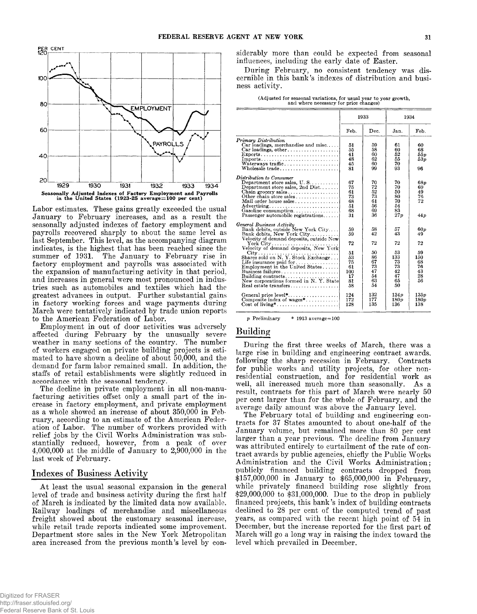

**Labor estimates. These gains greatly exceeded the usual January to February increases, and as a result the seasonally adjusted indexes of factory employment and payrolls recovered sharply to about the same level as last September. This level, as the accompanying diagram indicates, is the highest that has been reached since the** The January to February rise in **factory employment and payrolls was associated with the expansion of manufacturing activity in that period, and increases in general were most pronounced in industries such as automobiles and textiles which had the greatest advances in output. Further substantial gains in factory working forces and wage payments during March were tentatively indicated by trade union reports to the American Federation of Labor.**

**Employment in out of door activities was adversely affected during February by the unusually severe weather in many sections of the country. The number of workers engaged on private building projects is estimated to have shown a decline of about 50,000, and the demand for farm labor remained small. In addition, the staffs of retail establishments were slightly reduced in accordance with the seasonal tendency.**

**The decline in private employment in all non-manufacturing activities offset only a small part of the increase in factory employment, and private employment as a whole showed an increase of about 350,000 in February, according to an estimate of the American Federation of Labor. The number of workers provided with relief jobs by the Civil Works Administration was substantially reduced, however, from a peak of over 4,000,000 at the middle of January to 2,900,000 in the last week of February.**

# **Indexes of Business Activity**

**At least the usual seasonal expansion in the general level of trade and business activity during the first half of March is indicated by the limited data now available. Railway loadings of merchandise and miscellaneous freight showed about the customary seasonal increase, while retail trade reports indicated some improvement. Department store sales in the New York Metropolitan area increased from the previous month's level by con-** **siderably more than could be expected from seasonal influences, including the early date of Easter.**

**During February, no consistent tendency was discernible in this bank's indexes of distribution and business activity.**

|  |                                        |  | (Adjusted for seasonal variations, for usual year to year growth, |
|--|----------------------------------------|--|-------------------------------------------------------------------|
|  | and where necessary for price changes) |  |                                                                   |

|                                                                                                                                                                                                                                                                                                                                                                                                                         | 1933                                                            |                                                                | 1934                                                            |                                                            |
|-------------------------------------------------------------------------------------------------------------------------------------------------------------------------------------------------------------------------------------------------------------------------------------------------------------------------------------------------------------------------------------------------------------------------|-----------------------------------------------------------------|----------------------------------------------------------------|-----------------------------------------------------------------|------------------------------------------------------------|
|                                                                                                                                                                                                                                                                                                                                                                                                                         | Feb.                                                            | Dec.                                                           | Jan.                                                            | Feb.                                                       |
| Primary Distribution<br>Car loadings, merchandise and misc<br>$\text{Exports}$<br>Imports<br>Wholesale trade                                                                                                                                                                                                                                                                                                            | 51<br>55<br>41<br>48<br>45<br>81                                | 59<br>58<br>60<br>62<br>60<br>99                               | 61<br>60<br>52<br>55<br>70<br>93                                | 60<br>68<br>55p<br>53 p<br>96                              |
| Distribution to Consumer<br>Department store sales, $U.S.$<br>Department store sales, 2nd Dist<br>Chain grocery sales<br>Other chain store sales<br>Mail order house sales<br>$Advertising \ldots \ldots \ldots \ldots \ldots \ldots \ldots$<br>Gasoline consumption<br>Passenger automobile registrations                                                                                                              | 67<br>75<br>61<br>73<br>68<br>51<br>68<br>31                    | 70<br>72<br>52<br>73<br>61<br>56<br>69<br>36                   | 70<br>70<br>50<br>80<br>70<br>54<br>83<br>27p                   | 68p<br>69<br>49<br>76<br>72<br>44 p                        |
| General Business Activity<br>Bank debits, outside New York City<br>Bank debits, New York City<br>Velocity of demand deposits, outside New<br>Shares sold on N.Y. Stock Exchange<br>Life insurance paid for $\dots \dots \dots \dots$<br>Employment in the United States<br>$\mathbf{Business \; failures.} \dots \dots \dots \dots \dots \dots \dots$<br>New corporations formed in N.Y. State<br>Real estate transfers | 59<br>59<br>72<br>51<br>53<br>75<br>61<br>100<br>17<br>81<br>58 | 58<br>42<br>72<br>50<br>86<br>67<br>73<br>47<br>54<br>63<br>54 | 57<br>43<br>72<br>53<br>133<br>73<br>73<br>42<br>47<br>65<br>50 | 60p<br>49<br>72<br>59<br>150<br>68<br>76<br>43<br>28<br>56 |
| General price level*<br>Composite index of wages*                                                                                                                                                                                                                                                                                                                                                                       | 124<br>172<br>128                                               | 132<br>177<br>135                                              | 134p<br>180p<br>136                                             | 135p<br>180p<br>138                                        |

**p Preliminary \* 1913 average = 100**

# **Building**

**During the first three weeks of March, there was a large rise in building and engineering contract awards, following the sharp recession in February. Contracts for public works and utility projects, for other nonresidential construction, and for residential work as well, all increased much more than seasonally. As a result, contracts for this part of March were nearly 50 per cent larger than for the whole of February, and the average daily amount was above the January level.**

**The February total of building and engineering contracts for 37 States amounted to about one-half of the January volume, but remained more than 80 per cent larger than a year previous. The decline from January was attributed entirely to curtailment of the rate of contract awards by public agencies, chiefly the Public Works Administration and the Civil Works Administration; publicly financed building contracts dropped from \$157,000,000 in January to \$65,000,000 in February, while privately financed building rose slightly from \$29,000,000 to \$31,000,000. Due to the drop in publicly financed projects, this bank's index of building contracts declined to 28 per cent of the computed trend of past years, as compared with the recent high point of 54 in December, but the increase reported for the first part of March will go a long way in raising the index toward the level which prevailed in December.**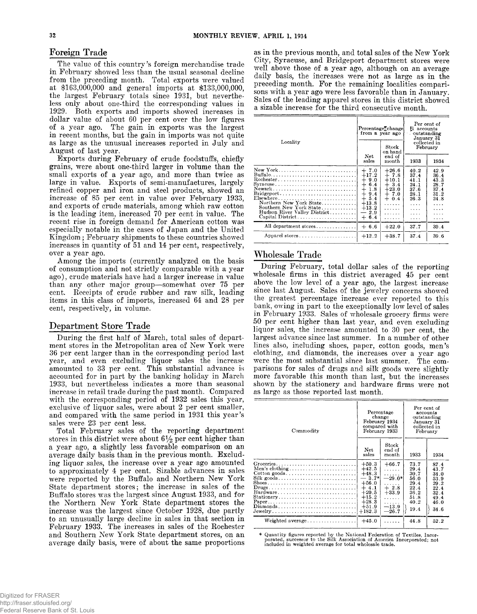**The value of this country's foreign merchandise trade in February showed less than the usual seasonal decline from the preceding month. Total exports were valued at \$163,000,000 and general imports at \$133,000,000, the largest February totals since 1931, but nevertheless only about one-third the corresponding values in 1929. Both exports and imports showed increases in dollar value of about 60 per cent over the low figures of a year ago. The gain in exports was the largest in recent months, but the gain in imports was not quite as large as the unusual increases reported in July and August of last year.**

**Exports during February of crude foodstuffs, chiefly grains, were about one-third larger in volume than the small exports of a year ago, and more than twice as large in value. Exports of semi-manufactures, largely refined copper and iron and steel products, showed an increase of 85 per cent in value over February 1933, and exports of crude materials, among which raw cotton is the leading item, increased 70 per cent in value. The recent rise in foreign demand for American cotton was especially notable in the cases of Japan and the United Kingdom; February shipments to these countries showed increases in quantity of 51 and 14 per cent, respectively, over a year ago.**

**Among the imports (currently analyzed on the basis of consumption and not strictly comparable with a year ago), crude materials have had a larger increase in value than any other major group— somewhat over 75 per cent. Receipts of crude rubber and raw silk, leading items in this class of imports, increased 64 and 28 per cent, respectively, in volume.**

#### **Department Store Trade**

**During the first half of March, total sales of department stores in the Metropolitan area of New York were 36 per cent larger than in the corresponding period last year, and even excluding liquor sales the increase amounted to 33 per cent. This substantial advance is accounted for in part by the banking holiday in March 1933, but nevertheless indicates a more than seasonal increase in retail trade during the past month. Compared with the corresponding period of 1932 sales this year, exclusive of liquor sales, were about 2 per cent smaller, and compared with the same period in 1931 this year's sales were 23 per cent less.**

**Total February sales of the reporting department stores in this district were about** *G1/^* **Per cent higher than a year ago, a slightly less favorable comparison on an average daily basis than in the previous month. Excluding liquor sales, the increase over a year ago amounted to approximately 4 per cent. Sizable advances in sales were reported by the Buffalo and Northern New York State department stores; the increase in sales of the Buffalo stores was the largest since August 1933, and for the Northern New York State department stores the increase was the largest since October 1928, due partly to an unusually large decline in sales in that section in February 1933. The increases in sales of the Rochester and Southern New York State department stores, on an average daily basis, were of about the same proportions**

**Foreign Trade as in the previous month, and total sales of the New York City, Syracuse, and Bridgeport department stores were well above those of a year ago, although on an average daily basis, the increases were not as large as in the preceding month. For the remaining localities comparisons with a year ago were less favorable than in January. Sales of the leading apparel stores in this district showed a sizable increase for the third consecutive month.**

|                                                                                                                                    |                                                                                                                                               | Percentage change<br>from a year ago                                                      | Per cent of<br>Et accounts<br>outstanding<br>January 31                                     |                                                                                             |
|------------------------------------------------------------------------------------------------------------------------------------|-----------------------------------------------------------------------------------------------------------------------------------------------|-------------------------------------------------------------------------------------------|---------------------------------------------------------------------------------------------|---------------------------------------------------------------------------------------------|
| Locality                                                                                                                           |                                                                                                                                               | Stock<br>on hand                                                                          |                                                                                             | collected in<br>February                                                                    |
|                                                                                                                                    | Net<br>sales                                                                                                                                  | end of<br>month                                                                           | 1933                                                                                        | 1934                                                                                        |
| New York<br>$Rochester.$<br>Northern New York State<br>Southern New York State<br>Hudson River Valley District<br>Capital District | $+7.0$<br>$+17.2$<br>9.0<br>$\pm$<br>$\div$<br>6.4<br>$\div$<br>1.8<br>$+$<br>9.4<br>$^{+}$<br>5.4<br>$+13.8$<br>$+13.2$<br>$-2.9$<br>$+ 6.4$ | $+26.6$<br>$+7.8$<br>$+10.1$<br>$+3.4$<br>$+23.0$<br>$+7.0$<br>$+0.4$<br>.<br>.<br>.<br>. | 40.2<br>37.4<br>41.1<br>24.1<br>37.6<br>28 1<br>26.3<br>$\sim$ $\sim$ $\sim$<br>.<br>.<br>. | 42.9<br>36.4<br>43.3<br>28.7<br>37.4<br>31.2<br>24.8<br>.<br>$\sim$ $\sim$ $\sim$<br>.<br>. |
| All department stores                                                                                                              | $+6.6$                                                                                                                                        | $+22.0$                                                                                   | 37.7                                                                                        | 39.4                                                                                        |
| Apparel stores                                                                                                                     | $+12.2$                                                                                                                                       | $+38.7$                                                                                   | 37.4                                                                                        | 39.6                                                                                        |
|                                                                                                                                    |                                                                                                                                               |                                                                                           |                                                                                             |                                                                                             |

# **W holesale Trade**

**During February, total dollar sales of the reporting wholesale firms in this district averaged 45 per cent above the low level of a year ago, the largest increase since last August. Sales of the jewelry concerns showed the greatest percentage increase ever reported to this bank, owing in part to the exceptionally low level of sales in February 1933. Sales of wholesale grocery firms were 50 per cent higher than last year, and even excluding liquor sales, the increase amounted to 30 per cent, the largest advance since last summer. In a number of other lines also, including shoes, paper, cotton goods, men's clothing, and diamonds, the increases over a year ago were the most substantial since last summer. The comparisons for sales of drugs and silk goods were slightly more favorable this month than last, but the increases shown by the stationery and hardware firms were not as large as those reported last month.**

| Commodity                                                                                                             |                                                                                                                       | Percentage<br>change<br>February 1934<br>compared with<br>February 1933            | Per cent of<br>accounts<br>outstanding<br>Januarv 31<br>collected in<br>February |                                                                              |
|-----------------------------------------------------------------------------------------------------------------------|-----------------------------------------------------------------------------------------------------------------------|------------------------------------------------------------------------------------|----------------------------------------------------------------------------------|------------------------------------------------------------------------------|
|                                                                                                                       | Net<br>sales                                                                                                          | Stock<br>end of<br>month                                                           | 1933                                                                             | 1934                                                                         |
| Groceries<br>Men's clothing<br>Cotton goods<br>$Stationery. \ldots. \ldots. \ldots. \ldots. \ldots. \ldots.$<br>Paper | $+50.3$<br>$+42.5$<br>$+48.3$<br>$-3.7*$<br>$+56.0$<br>$+4.1$<br>$+20.5$<br>$+15.2$<br>$+28.3$<br>$+51.9$<br>$+182.3$ | $+66.7$<br>.<br>.<br>$-29.0*$<br>$+2.8$<br>$+33.9$<br>.<br>.<br>$-13.9$<br>$-26.7$ | 73.7<br>29.4<br>30.7<br>56.0<br>29.4<br>22.4<br>36.2<br>51.8<br>40.2<br>19.4     | 87.4<br>43.7<br>34.0<br>53.9<br>29.2<br>22.4<br>32.4<br>49.4<br>46.0<br>34.6 |
|                                                                                                                       | $+45.0$                                                                                                               | .                                                                                  | 44.8                                                                             | 52.2                                                                         |

**\* Quantity figures reported by the National Federation of Textiles, Incor-porated, successor to the Silk Association of America Incorporated; not included in weighted average for total wholesale trade.**